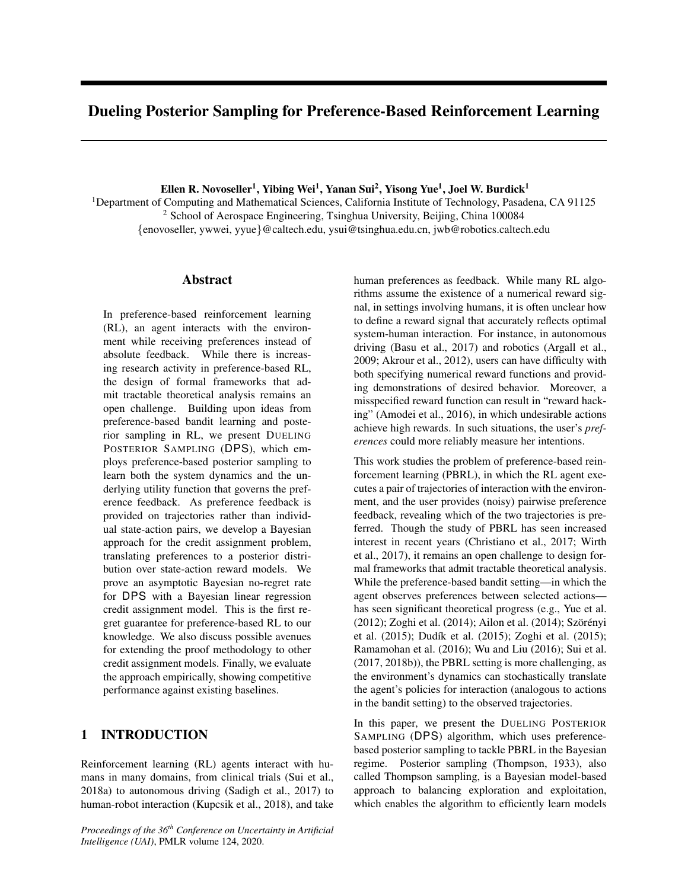# Dueling Posterior Sampling for Preference-Based Reinforcement Learning

Ellen R. Novoseller $^1$ , Yibing Wei $^1$ , Yanan Sui $^2$ , Yisong Yue $^1$ , Joel W. Burdick $^1$ 

<sup>1</sup>Department of Computing and Mathematical Sciences, California Institute of Technology, Pasadena, CA 91125 <sup>2</sup> School of Aerospace Engineering, Tsinghua University, Beijing, China 100084 {enovoseller, ywwei, yyue}@caltech.edu, ysui@tsinghua.edu.cn, jwb@robotics.caltech.edu

### Abstract

In preference-based reinforcement learning (RL), an agent interacts with the environment while receiving preferences instead of absolute feedback. While there is increasing research activity in preference-based RL, the design of formal frameworks that admit tractable theoretical analysis remains an open challenge. Building upon ideas from preference-based bandit learning and posterior sampling in RL, we present DUELING POSTERIOR SAMPLING (DPS), which employs preference-based posterior sampling to learn both the system dynamics and the underlying utility function that governs the preference feedback. As preference feedback is provided on trajectories rather than individual state-action pairs, we develop a Bayesian approach for the credit assignment problem, translating preferences to a posterior distribution over state-action reward models. We prove an asymptotic Bayesian no-regret rate for DPS with a Bayesian linear regression credit assignment model. This is the first regret guarantee for preference-based RL to our knowledge. We also discuss possible avenues for extending the proof methodology to other credit assignment models. Finally, we evaluate the approach empirically, showing competitive performance against existing baselines.

# 1 INTRODUCTION

Reinforcement learning (RL) agents interact with humans in many domains, from clinical trials (Sui et al., 2018a) to autonomous driving (Sadigh et al., 2017) to human-robot interaction (Kupcsik et al., 2018), and take

*Proceedings of the 36th Conference on Uncertainty in Artificial Intelligence (UAI)*, PMLR volume 124, 2020.

human preferences as feedback. While many RL algorithms assume the existence of a numerical reward signal, in settings involving humans, it is often unclear how to define a reward signal that accurately reflects optimal system-human interaction. For instance, in autonomous driving (Basu et al., 2017) and robotics (Argall et al., 2009; Akrour et al., 2012), users can have difficulty with both specifying numerical reward functions and providing demonstrations of desired behavior. Moreover, a misspecified reward function can result in "reward hacking" (Amodei et al., 2016), in which undesirable actions achieve high rewards. In such situations, the user's *preferences* could more reliably measure her intentions.

This work studies the problem of preference-based reinforcement learning (PBRL), in which the RL agent executes a pair of trajectories of interaction with the environment, and the user provides (noisy) pairwise preference feedback, revealing which of the two trajectories is preferred. Though the study of PBRL has seen increased interest in recent years (Christiano et al., 2017; Wirth et al., 2017), it remains an open challenge to design formal frameworks that admit tractable theoretical analysis. While the preference-based bandit setting—in which the agent observes preferences between selected actions has seen significant theoretical progress (e.g., Yue et al. (2012); Zoghi et al. (2014); Ailon et al. (2014); Szörényi et al. (2015); Dudík et al. (2015); Zoghi et al. (2015); Ramamohan et al. (2016); Wu and Liu (2016); Sui et al. (2017, 2018b)), the PBRL setting is more challenging, as the environment's dynamics can stochastically translate the agent's policies for interaction (analogous to actions in the bandit setting) to the observed trajectories.

In this paper, we present the DUELING POSTERIOR SAMPLING (DPS) algorithm, which uses preferencebased posterior sampling to tackle PBRL in the Bayesian regime. Posterior sampling (Thompson, 1933), also called Thompson sampling, is a Bayesian model-based approach to balancing exploration and exploitation, which enables the algorithm to efficiently learn models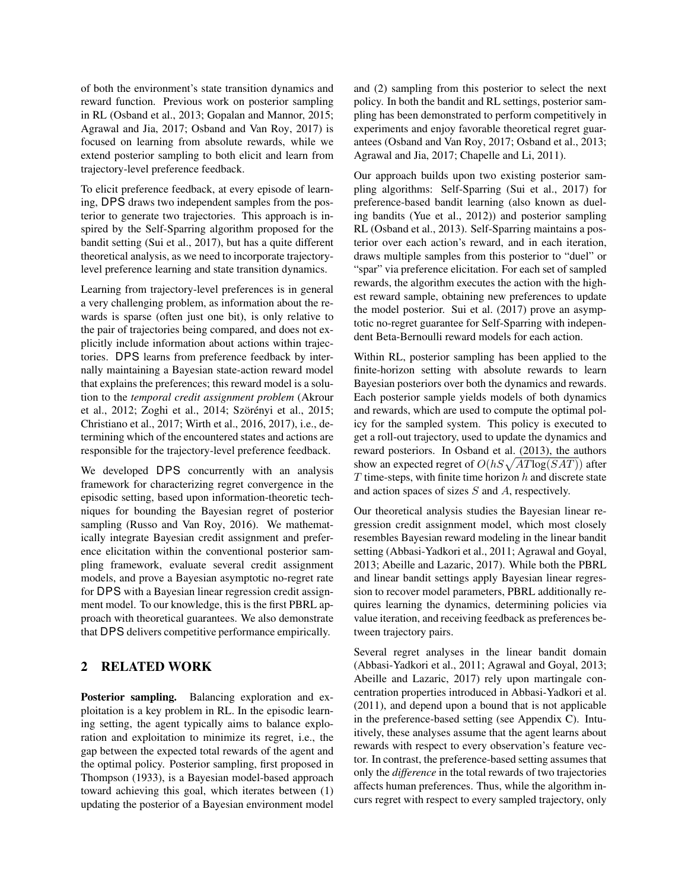of both the environment's state transition dynamics and reward function. Previous work on posterior sampling in RL (Osband et al., 2013; Gopalan and Mannor, 2015; Agrawal and Jia, 2017; Osband and Van Roy, 2017) is focused on learning from absolute rewards, while we extend posterior sampling to both elicit and learn from trajectory-level preference feedback.

To elicit preference feedback, at every episode of learning, DPS draws two independent samples from the posterior to generate two trajectories. This approach is inspired by the Self-Sparring algorithm proposed for the bandit setting (Sui et al., 2017), but has a quite different theoretical analysis, as we need to incorporate trajectorylevel preference learning and state transition dynamics.

Learning from trajectory-level preferences is in general a very challenging problem, as information about the rewards is sparse (often just one bit), is only relative to the pair of trajectories being compared, and does not explicitly include information about actions within trajectories. DPS learns from preference feedback by internally maintaining a Bayesian state-action reward model that explains the preferences; this reward model is a solution to the *temporal credit assignment problem* (Akrour et al., 2012; Zoghi et al., 2014; Szörényi et al., 2015; Christiano et al., 2017; Wirth et al., 2016, 2017), i.e., determining which of the encountered states and actions are responsible for the trajectory-level preference feedback.

We developed DPS concurrently with an analysis framework for characterizing regret convergence in the episodic setting, based upon information-theoretic techniques for bounding the Bayesian regret of posterior sampling (Russo and Van Roy, 2016). We mathematically integrate Bayesian credit assignment and preference elicitation within the conventional posterior sampling framework, evaluate several credit assignment models, and prove a Bayesian asymptotic no-regret rate for DPS with a Bayesian linear regression credit assignment model. To our knowledge, this is the first PBRL approach with theoretical guarantees. We also demonstrate that DPS delivers competitive performance empirically.

# 2 RELATED WORK

Posterior sampling. Balancing exploration and exploitation is a key problem in RL. In the episodic learning setting, the agent typically aims to balance exploration and exploitation to minimize its regret, i.e., the gap between the expected total rewards of the agent and the optimal policy. Posterior sampling, first proposed in Thompson (1933), is a Bayesian model-based approach toward achieving this goal, which iterates between (1) updating the posterior of a Bayesian environment model and (2) sampling from this posterior to select the next policy. In both the bandit and RL settings, posterior sampling has been demonstrated to perform competitively in experiments and enjoy favorable theoretical regret guarantees (Osband and Van Roy, 2017; Osband et al., 2013; Agrawal and Jia, 2017; Chapelle and Li, 2011).

Our approach builds upon two existing posterior sampling algorithms: Self-Sparring (Sui et al., 2017) for preference-based bandit learning (also known as dueling bandits (Yue et al., 2012)) and posterior sampling RL (Osband et al., 2013). Self-Sparring maintains a posterior over each action's reward, and in each iteration, draws multiple samples from this posterior to "duel" or "spar" via preference elicitation. For each set of sampled rewards, the algorithm executes the action with the highest reward sample, obtaining new preferences to update the model posterior. Sui et al. (2017) prove an asymptotic no-regret guarantee for Self-Sparring with independent Beta-Bernoulli reward models for each action.

Within RL, posterior sampling has been applied to the finite-horizon setting with absolute rewards to learn Bayesian posteriors over both the dynamics and rewards. Each posterior sample yields models of both dynamics and rewards, which are used to compute the optimal policy for the sampled system. This policy is executed to get a roll-out trajectory, used to update the dynamics and reward posteriors. In Osband et al. (2013), the authors show an expected regret of  $O(hS\sqrt{AT\log(SAT)})$  after  $T$  time-steps, with finite time horizon  $h$  and discrete state and action spaces of sizes S and A, respectively.

Our theoretical analysis studies the Bayesian linear regression credit assignment model, which most closely resembles Bayesian reward modeling in the linear bandit setting (Abbasi-Yadkori et al., 2011; Agrawal and Goyal, 2013; Abeille and Lazaric, 2017). While both the PBRL and linear bandit settings apply Bayesian linear regression to recover model parameters, PBRL additionally requires learning the dynamics, determining policies via value iteration, and receiving feedback as preferences between trajectory pairs.

Several regret analyses in the linear bandit domain (Abbasi-Yadkori et al., 2011; Agrawal and Goyal, 2013; Abeille and Lazaric, 2017) rely upon martingale concentration properties introduced in Abbasi-Yadkori et al. (2011), and depend upon a bound that is not applicable in the preference-based setting (see Appendix C). Intuitively, these analyses assume that the agent learns about rewards with respect to every observation's feature vector. In contrast, the preference-based setting assumes that only the *difference* in the total rewards of two trajectories affects human preferences. Thus, while the algorithm incurs regret with respect to every sampled trajectory, only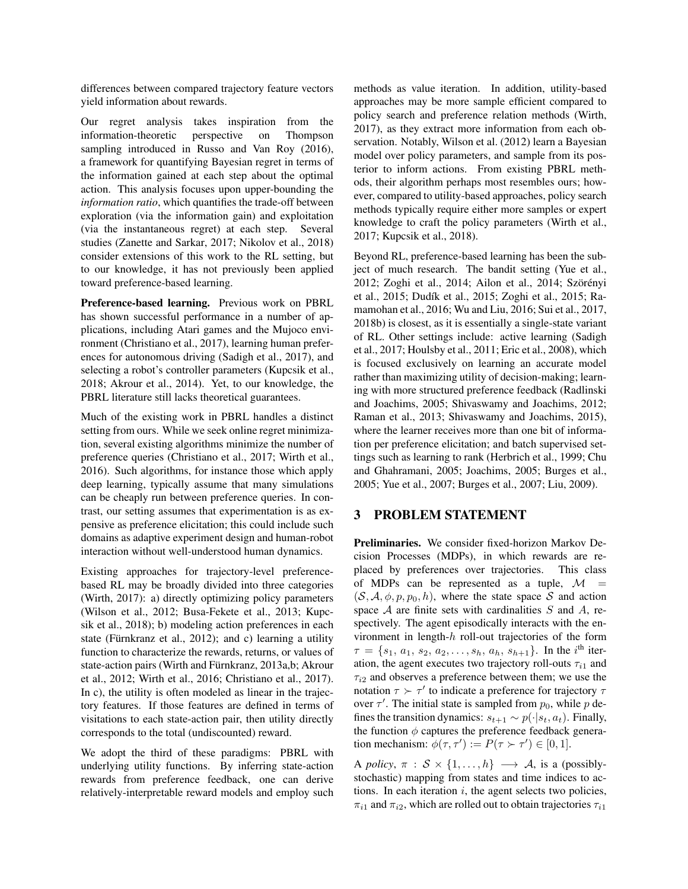differences between compared trajectory feature vectors yield information about rewards.

Our regret analysis takes inspiration from the information-theoretic perspective on Thompson sampling introduced in Russo and Van Roy (2016), a framework for quantifying Bayesian regret in terms of the information gained at each step about the optimal action. This analysis focuses upon upper-bounding the *information ratio*, which quantifies the trade-off between exploration (via the information gain) and exploitation (via the instantaneous regret) at each step. Several studies (Zanette and Sarkar, 2017; Nikolov et al., 2018) consider extensions of this work to the RL setting, but to our knowledge, it has not previously been applied toward preference-based learning.

Preference-based learning. Previous work on PBRL has shown successful performance in a number of applications, including Atari games and the Mujoco environment (Christiano et al., 2017), learning human preferences for autonomous driving (Sadigh et al., 2017), and selecting a robot's controller parameters (Kupcsik et al., 2018; Akrour et al., 2014). Yet, to our knowledge, the PBRL literature still lacks theoretical guarantees.

Much of the existing work in PBRL handles a distinct setting from ours. While we seek online regret minimization, several existing algorithms minimize the number of preference queries (Christiano et al., 2017; Wirth et al., 2016). Such algorithms, for instance those which apply deep learning, typically assume that many simulations can be cheaply run between preference queries. In contrast, our setting assumes that experimentation is as expensive as preference elicitation; this could include such domains as adaptive experiment design and human-robot interaction without well-understood human dynamics.

Existing approaches for trajectory-level preferencebased RL may be broadly divided into three categories (Wirth, 2017): a) directly optimizing policy parameters (Wilson et al., 2012; Busa-Fekete et al., 2013; Kupcsik et al., 2018); b) modeling action preferences in each state (Fürnkranz et al., 2012); and c) learning a utility function to characterize the rewards, returns, or values of state-action pairs (Wirth and Fürnkranz, 2013a,b; Akrour et al., 2012; Wirth et al., 2016; Christiano et al., 2017). In c), the utility is often modeled as linear in the trajectory features. If those features are defined in terms of visitations to each state-action pair, then utility directly corresponds to the total (undiscounted) reward.

We adopt the third of these paradigms: PBRL with underlying utility functions. By inferring state-action rewards from preference feedback, one can derive relatively-interpretable reward models and employ such methods as value iteration. In addition, utility-based approaches may be more sample efficient compared to policy search and preference relation methods (Wirth, 2017), as they extract more information from each observation. Notably, Wilson et al. (2012) learn a Bayesian model over policy parameters, and sample from its posterior to inform actions. From existing PBRL methods, their algorithm perhaps most resembles ours; however, compared to utility-based approaches, policy search methods typically require either more samples or expert knowledge to craft the policy parameters (Wirth et al., 2017; Kupcsik et al., 2018).

Beyond RL, preference-based learning has been the subject of much research. The bandit setting (Yue et al., 2012; Zoghi et al., 2014; Ailon et al., 2014; Szörényi et al., 2015; Dudík et al., 2015; Zoghi et al., 2015; Ramamohan et al., 2016; Wu and Liu, 2016; Sui et al., 2017, 2018b) is closest, as it is essentially a single-state variant of RL. Other settings include: active learning (Sadigh et al., 2017; Houlsby et al., 2011; Eric et al., 2008), which is focused exclusively on learning an accurate model rather than maximizing utility of decision-making; learning with more structured preference feedback (Radlinski and Joachims, 2005; Shivaswamy and Joachims, 2012; Raman et al., 2013; Shivaswamy and Joachims, 2015), where the learner receives more than one bit of information per preference elicitation; and batch supervised settings such as learning to rank (Herbrich et al., 1999; Chu and Ghahramani, 2005; Joachims, 2005; Burges et al., 2005; Yue et al., 2007; Burges et al., 2007; Liu, 2009).

# 3 PROBLEM STATEMENT

Preliminaries. We consider fixed-horizon Markov Decision Processes (MDPs), in which rewards are replaced by preferences over trajectories. This class of MDPs can be represented as a tuple,  $\mathcal{M}$  =  $(S, \mathcal{A}, \phi, p, p_0, h)$ , where the state space S and action space  $A$  are finite sets with cardinalities  $S$  and  $A$ , respectively. The agent episodically interacts with the environment in length-h roll-out trajectories of the form  $\tau = \{s_1, a_1, s_2, a_2, \ldots, s_h, a_h, s_{h+1}\}.$  In the *i*<sup>th</sup> iteration, the agent executes two trajectory roll-outs  $\tau_{i1}$  and  $\tau_{i2}$  and observes a preference between them; we use the notation  $\tau \succ \tau'$  to indicate a preference for trajectory  $\tau$ over  $\tau'$ . The initial state is sampled from  $p_0$ , while p defines the transition dynamics:  $s_{t+1} \sim p(\cdot|s_t, a_t)$ . Finally, the function  $\phi$  captures the preference feedback generation mechanism:  $\phi(\tau, \tau') := P(\tau \succ \tau') \in [0, 1].$ 

A *policy*,  $\pi : \mathcal{S} \times \{1, ..., h\} \longrightarrow \mathcal{A}$ , is a (possiblystochastic) mapping from states and time indices to actions. In each iteration  $i$ , the agent selects two policies,  $\pi_{i1}$  and  $\pi_{i2}$ , which are rolled out to obtain trajectories  $\tau_{i1}$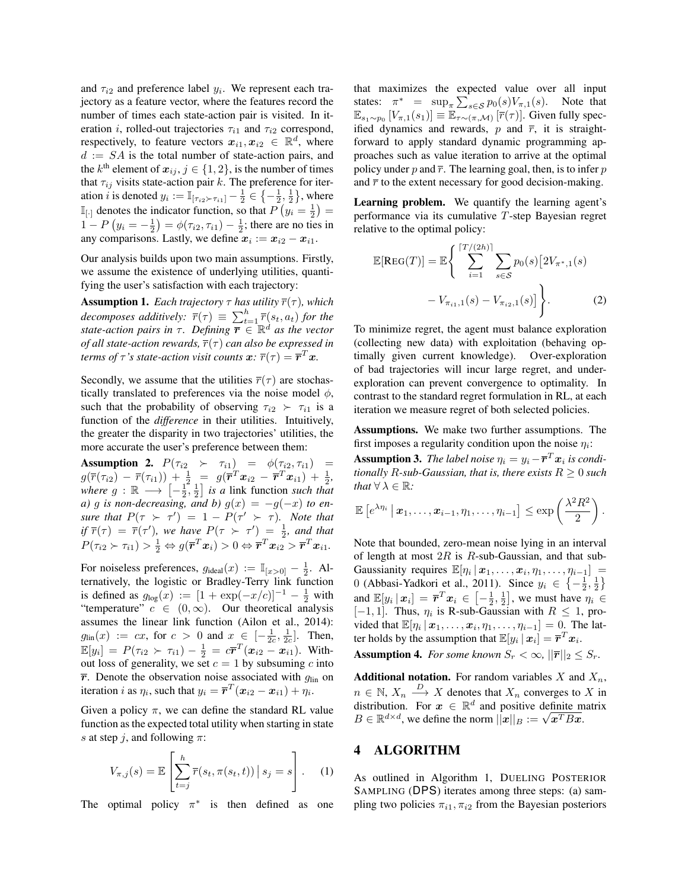and  $\tau_{i2}$  and preference label  $y_i$ . We represent each trajectory as a feature vector, where the features record the number of times each state-action pair is visited. In iteration *i*, rolled-out trajectories  $\tau_{i1}$  and  $\tau_{i2}$  correspond, respectively, to feature vectors  $x_{i1}, x_{i2} \in \mathbb{R}^d$ , where  $d := SA$  is the total number of state-action pairs, and the  $k^{\text{th}}$  element of  $\boldsymbol{x}_{ij}, j \in \{1,2\}$ , is the number of times that  $\tau_{ij}$  visits state-action pair k. The preference for iteration *i* is denoted  $y_i := \mathbb{I}_{[\tau_{i2} > \tau_{i1}]} - \frac{1}{2} \in \{-\frac{1}{2}, \frac{1}{2}\}\,$  where  $\mathbb{I}_{[ \cdot ]}$  denotes the indicator function, so that  $P(y_i = \frac{1}{2}) =$  $1 - P(y_i = -\frac{1}{2}) = \phi(\tau_{i2}, \tau_{i1}) - \frac{1}{2}$ ; there are no ties in any comparisons. Lastly, we define  $x_i := x_{i2} - x_{i1}$ .

Our analysis builds upon two main assumptions. Firstly, we assume the existence of underlying utilities, quantifying the user's satisfaction with each trajectory:

**Assumption 1.** *Each trajectory*  $\tau$  *has utility*  $\overline{r}(\tau)$ *, which decomposes additively:*  $\overline{r}(\tau) \equiv \sum_{t=1}^{h} \overline{r}(s_t, a_t)$  *for the state-action pairs in*  $\tau$ . Defining  $\overline{r} \in \mathbb{R}^d$  as the vector *of all state-action rewards,*  $\overline{r}(\tau)$  *can also be expressed in terms of*  $\tau$  *'s state-action visit counts*  $\boldsymbol{x}$ *:*  $\overline{r}(\tau) = \overline{\boldsymbol{r}}^T \boldsymbol{x}$ *.* 

Secondly, we assume that the utilities  $\overline{r}(\tau)$  are stochastically translated to preferences via the noise model  $\phi$ , such that the probability of observing  $\tau_{i2} > \tau_{i1}$  is a function of the *difference* in their utilities. Intuitively, the greater the disparity in two trajectories' utilities, the more accurate the user's preference between them:

**Assumption 2.**  $P(\tau_{i2} \succ \tau_{i1}) = \phi(\tau_{i2}, \tau_{i1}) =$  $g(\overline{r}(\tau_{i2}) - \overline{r}(\tau_{i1})) + \frac{1}{2} = g(\overline{r}^T \mathbf{x}_{i2} - \overline{r}^T \mathbf{x}_{i1}) + \frac{1}{2},$ *where*  $g : \mathbb{R} \longrightarrow [-\frac{1}{2}, \frac{1}{2}]$  *is a* link function *such that a*) *g is non-decreasing, and b*)  $g(x) = -g(-x)$  *to ensure that*  $P(\tau > \tau') = 1 - P(\tau' > \tau)$ *. Note that if*  $\overline{r}(\tau) = \overline{r}(\tau')$ , we have  $P(\tau > \tau') = \frac{1}{2}$ , and that  $P(\tau_{i2} \succ \tau_{i1}) > \frac{1}{2} \Leftrightarrow g(\overline{\boldsymbol{r}}^T \boldsymbol{x}_i) > 0 \Leftrightarrow \overline{\boldsymbol{r}}^T \boldsymbol{x}_{i2} > \overline{\boldsymbol{r}}^T \boldsymbol{x}_{i1}.$ 

For noiseless preferences,  $g_{\text{ideal}}(x) := \mathbb{I}_{[x>0]} - \frac{1}{2}$ . Alternatively, the logistic or Bradley-Terry link function is defined as  $g_{\log}(x) := [1 + \exp(-x/c)]^{-1} - \frac{1}{2}$  with "temperature"  $c \in (0, \infty)$ . Our theoretical analysis assumes the linear link function (Ailon et al., 2014):  $g_{\text{lin}}(x) := cx$ , for  $c > 0$  and  $x \in [-\frac{1}{2c}, \frac{1}{2c}]$ . Then,  $\mathbb{E}[y_i] = P(\tau_{i2} \succ \tau_{i1}) - \frac{1}{2} = c\bar{r}^T(\bm{x}_{i2} - \bm{x}_{i1}).$  Without loss of generality, we set  $c = 1$  by subsuming c into  $\overline{r}$ . Denote the observation noise associated with  $g_{lin}$  on iteration *i* as  $\eta_i$ , such that  $y_i = \overline{r}^T(\mathbf{x}_{i2} - \mathbf{x}_{i1}) + \eta_i$ .

Given a policy  $\pi$ , we can define the standard RL value function as the expected total utility when starting in state s at step j, and following  $\pi$ :

$$
V_{\pi,j}(s) = \mathbb{E}\left[\sum_{t=j}^{h} \overline{r}(s_t, \pi(s_t, t)) \, \big| \, s_j = s\right]. \tag{1}
$$

The optimal policy  $\pi^*$  is then defined as one

that maximizes the expected value over all input states:  $\pi^* = \sup_{\pi} \sum_{s \in S} p_0(s) V_{\pi,1}(s)$ . Note that  $\mathbb{E}_{s_1 \sim p_0} [V_{\pi,1}(s_1)] \equiv \mathbb{E}_{\tau \sim (\pi,\mathcal{M})} [\overline{r}(\tau)].$  Given fully specified dynamics and rewards,  $p$  and  $\overline{r}$ , it is straightforward to apply standard dynamic programming approaches such as value iteration to arrive at the optimal policy under p and  $\bar{r}$ . The learning goal, then, is to infer p and  $\bar{r}$  to the extent necessary for good decision-making.

Learning problem. We quantify the learning agent's performance via its cumulative T-step Bayesian regret relative to the optimal policy:

$$
\mathbb{E}[\text{Reg}(T)] = \mathbb{E}\left\{\sum_{i=1}^{[T/(2h)]} \sum_{s \in \mathcal{S}} p_0(s) \left[2V_{\pi^*,1}(s) - V_{\pi_{i1},1}(s) - V_{\pi_{i2},1}(s)\right]\right\}.
$$
 (2)

To minimize regret, the agent must balance exploration (collecting new data) with exploitation (behaving optimally given current knowledge). Over-exploration of bad trajectories will incur large regret, and underexploration can prevent convergence to optimality. In contrast to the standard regret formulation in RL, at each iteration we measure regret of both selected policies.

Assumptions. We make two further assumptions. The first imposes a regularity condition upon the noise  $\eta_i$ :

**Assumption 3.** *The label noise*  $\eta_i = y_i - \overline{\boldsymbol{r}}^T \boldsymbol{x}_i$  *is conditionally R-sub-Gaussian, that is, there exists*  $R \geq 0$  *such that*  $\forall \lambda \in \mathbb{R}$ *:* 

$$
\mathbb{E}\left[e^{\lambda \eta_i} \,\big|\, \boldsymbol{x}_1,\dots,\boldsymbol{x}_{i-1},\eta_1,\dots,\eta_{i-1}\right] \leq \exp\left(\frac{\lambda^2 R^2}{2}\right).
$$

Note that bounded, zero-mean noise lying in an interval of length at most  $2R$  is R-sub-Gaussian, and that sub-Gaussianity requires  $\mathbb{E}[\eta_i | \mathbf{x}_1, \dots, \mathbf{x}_i, \eta_1, \dots, \eta_{i-1}] =$ 0 (Abbasi-Yadkori et al., 2011). Since  $y_i \in \left\{-\frac{1}{2}, \frac{1}{2}\right\}$ and  $\mathbb{E}[y_i | x_i] = \overline{r}^T x_i \in \left[-\frac{1}{2}, \frac{1}{2}\right]$ , we must have  $\eta_i \in$  $[-1, 1]$ . Thus,  $\eta_i$  is R-sub-Gaussian with  $R \leq 1$ , provided that  $\mathbb{E}[\eta_i | \mathbf{x}_1, \dots, \mathbf{x}_i, \eta_1, \dots, \eta_{i-1}] = 0$ . The latter holds by the assumption that  $\mathbb{E}[y_i\,|\, \boldsymbol{x}_i] = \overline{\boldsymbol{r}}^T\boldsymbol{x}_i.$ **Assumption 4.** For some known  $S_r < \infty$ ,  $||\overline{r}||_2 \leq S_r$ .

**Additional notation.** For random variables X and  $X_n$ ,  $n \in \mathbb{N}, X_n \stackrel{D}{\longrightarrow} X$  denotes that  $X_n$  converges to X in distribution. For  $x \in \mathbb{R}^d$  and positive definite matrix distribution. For  $x \in \mathbb{R}^d$  and positive definite m<br>  $B \in \mathbb{R}^{d \times d}$ , we define the norm  $||x||_B := \sqrt{x^T B x}$ .

#### 4 ALGORITHM

As outlined in Algorithm 1, DUELING POSTERIOR SAMPLING (DPS) iterates among three steps: (a) sampling two policies  $\pi_{i1}, \pi_{i2}$  from the Bayesian posteriors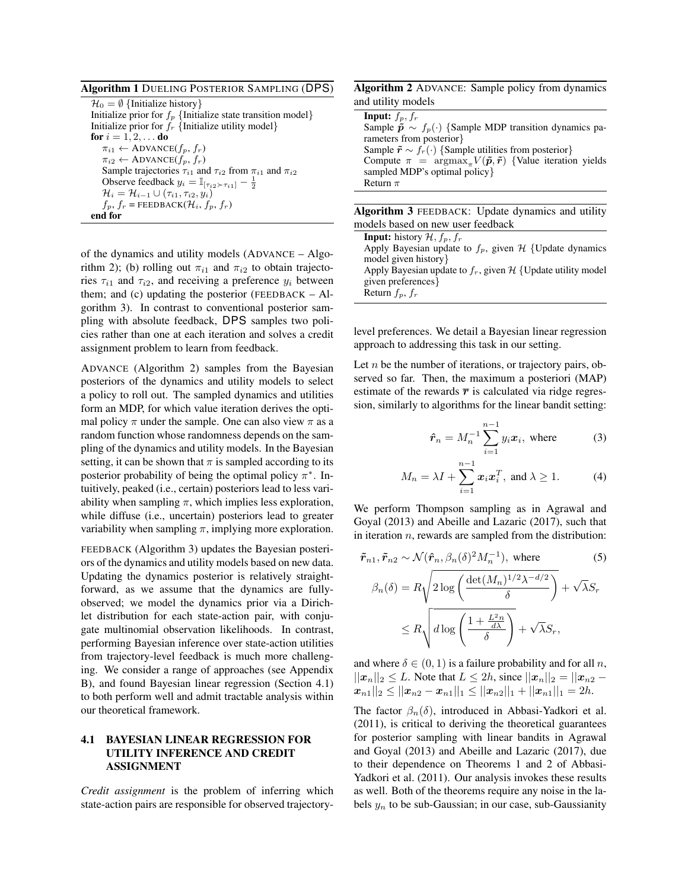Algorithm 1 DUELING POSTERIOR SAMPLING (DPS)

 $\mathcal{H}_0 = \emptyset$  {Initialize history} Initialize prior for  $f_p$  {Initialize state transition model} Initialize prior for  $f_r$  {Initialize utility model} for  $i = 1, 2, \ldots$  do  $\pi_{i1} \leftarrow$  ADVANCE $(f_p, f_r)$  $\pi_{i2} \leftarrow$  ADVANCE $(f_p, f_r)$ Sample trajectories  $\tau_{i1}$  and  $\tau_{i2}$  from  $\pi_{i1}$  and  $\pi_{i2}$ Observe feedback  $y_i = \mathbb{I}_{[\tau_{i2} \succ \tau_{i1}]} - \frac{1}{2}$  $\mathcal{H}_i = \mathcal{H}_{i-1} \cup (\tau_{i1}, \tau_{i2}, y_i)$  $f_p, f_r$  = FEEDBACK( $\mathcal{H}_i, f_p, f_r$ ) end for

of the dynamics and utility models (ADVANCE – Algorithm 2); (b) rolling out  $\pi_{i1}$  and  $\pi_{i2}$  to obtain trajectories  $\tau_{i1}$  and  $\tau_{i2}$ , and receiving a preference  $y_i$  between them; and (c) updating the posterior ( $FEEDBACK - Al$ gorithm 3). In contrast to conventional posterior sampling with absolute feedback, DPS samples two policies rather than one at each iteration and solves a credit assignment problem to learn from feedback.

ADVANCE (Algorithm 2) samples from the Bayesian posteriors of the dynamics and utility models to select a policy to roll out. The sampled dynamics and utilities form an MDP, for which value iteration derives the optimal policy  $\pi$  under the sample. One can also view  $\pi$  as a random function whose randomness depends on the sampling of the dynamics and utility models. In the Bayesian setting, it can be shown that  $\pi$  is sampled according to its posterior probability of being the optimal policy  $\pi^*$ . Intuitively, peaked (i.e., certain) posteriors lead to less variability when sampling  $\pi$ , which implies less exploration, while diffuse (i.e., uncertain) posteriors lead to greater variability when sampling  $\pi$ , implying more exploration.

FEEDBACK (Algorithm 3) updates the Bayesian posteriors of the dynamics and utility models based on new data. Updating the dynamics posterior is relatively straightforward, as we assume that the dynamics are fullyobserved; we model the dynamics prior via a Dirichlet distribution for each state-action pair, with conjugate multinomial observation likelihoods. In contrast, performing Bayesian inference over state-action utilities from trajectory-level feedback is much more challenging. We consider a range of approaches (see Appendix B), and found Bayesian linear regression (Section 4.1) to both perform well and admit tractable analysis within our theoretical framework.

#### 4.1 BAYESIAN LINEAR REGRESSION FOR UTILITY INFERENCE AND CREDIT ASSIGNMENT

*Credit assignment* is the problem of inferring which state-action pairs are responsible for observed trajectory-

Algorithm 2 ADVANCE: Sample policy from dynamics and utility models

| <b>Input:</b> $f_p, f_r$                                                                                  |
|-----------------------------------------------------------------------------------------------------------|
| Sample $\tilde{p} \sim f_p(\cdot)$ {Sample MDP transition dynamics pa-                                    |
| rameters from posterior}                                                                                  |
| Sample $\tilde{r} \sim f_r(\cdot)$ {Sample utilities from posterior}                                      |
| Compute $\pi$ = $\argmax_{\pi} V(\tilde{\boldsymbol{p}}, \tilde{\boldsymbol{r}})$ {Value iteration yields |
| sampled MDP's optimal policy }                                                                            |
| Return $\pi$                                                                                              |
|                                                                                                           |

| <b>Algorithm 3</b> FEEDBACK: Update dynamics and utility  |
|-----------------------------------------------------------|
| models based on new user feedback                         |
| <b>Input:</b> history $\mathcal{H}$ , $f_n$ , $f_r$       |
| Apply Bayesian update to $f_p$ , given H {Update dynamics |
|                                                           |

model given history} Apply Bayesian update to  $f_r$ , given  $H$  {Update utility model given preferences} Return  $f_p$ ,  $f_r$ 

level preferences. We detail a Bayesian linear regression approach to addressing this task in our setting.

Let  $n$  be the number of iterations, or trajectory pairs, observed so far. Then, the maximum a posteriori (MAP) estimate of the rewards  $\bar{r}$  is calculated via ridge regression, similarly to algorithms for the linear bandit setting:

$$
\hat{\boldsymbol{r}}_n = M_n^{-1} \sum_{i=1}^{n-1} y_i \boldsymbol{x}_i, \text{ where } (3)
$$

$$
M_n = \lambda I + \sum_{i=1}^{n-1} x_i x_i^T, \text{ and } \lambda \ge 1.
$$
 (4)

We perform Thompson sampling as in Agrawal and Goyal (2013) and Abeille and Lazaric (2017), such that in iteration  $n$ , rewards are sampled from the distribution:

$$
\tilde{r}_{n1}, \tilde{r}_{n2} \sim \mathcal{N}(\hat{r}_n, \beta_n(\delta)^2 M_n^{-1}), \text{ where } (5)
$$
\n
$$
\beta_n(\delta) = R \sqrt{2 \log \left( \frac{\det(M_n)^{1/2} \lambda^{-d/2}}{\delta} \right)} + \sqrt{\lambda} S_r
$$
\n
$$
\leq R \sqrt{d \log \left( \frac{1 + \frac{L^2 n}{d\lambda}}{\delta} \right)} + \sqrt{\lambda} S_r,
$$

and where  $\delta \in (0, 1)$  is a failure probability and for all n,  $||x_n||_2 \leq L$ . Note that  $L \leq 2h$ , since  $||x_n||_2 = ||x_{n2} ||x_{n1}||_2 \leq ||x_{n2} - x_{n1}||_1 \leq ||x_{n2}||_1 + ||x_{n1}||_1 = 2h.$ 

The factor  $\beta_n(\delta)$ , introduced in Abbasi-Yadkori et al. (2011), is critical to deriving the theoretical guarantees for posterior sampling with linear bandits in Agrawal and Goyal (2013) and Abeille and Lazaric (2017), due to their dependence on Theorems 1 and 2 of Abbasi-Yadkori et al. (2011). Our analysis invokes these results as well. Both of the theorems require any noise in the labels  $y_n$  to be sub-Gaussian; in our case, sub-Gaussianity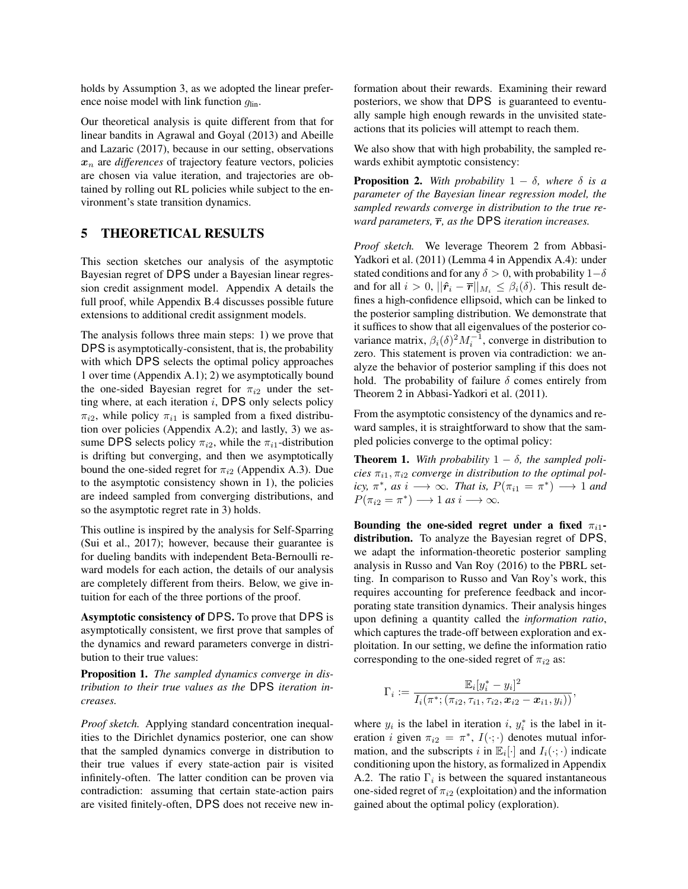holds by Assumption 3, as we adopted the linear preference noise model with link function  $q_{lin}$ .

Our theoretical analysis is quite different from that for linear bandits in Agrawal and Goyal (2013) and Abeille and Lazaric (2017), because in our setting, observations  $x_n$  are *differences* of trajectory feature vectors, policies are chosen via value iteration, and trajectories are obtained by rolling out RL policies while subject to the environment's state transition dynamics.

# 5 THEORETICAL RESULTS

This section sketches our analysis of the asymptotic Bayesian regret of DPS under a Bayesian linear regression credit assignment model. Appendix A details the full proof, while Appendix B.4 discusses possible future extensions to additional credit assignment models.

The analysis follows three main steps: 1) we prove that DPS is asymptotically-consistent, that is, the probability with which DPS selects the optimal policy approaches 1 over time (Appendix A.1); 2) we asymptotically bound the one-sided Bayesian regret for  $\pi_{i2}$  under the setting where, at each iteration  $i$ , DPS only selects policy  $\pi_{i2}$ , while policy  $\pi_{i1}$  is sampled from a fixed distribution over policies (Appendix A.2); and lastly, 3) we assume DPS selects policy  $\pi_{i2}$ , while the  $\pi_{i1}$ -distribution is drifting but converging, and then we asymptotically bound the one-sided regret for  $\pi_{i2}$  (Appendix A.3). Due to the asymptotic consistency shown in 1), the policies are indeed sampled from converging distributions, and so the asymptotic regret rate in 3) holds.

This outline is inspired by the analysis for Self-Sparring (Sui et al., 2017); however, because their guarantee is for dueling bandits with independent Beta-Bernoulli reward models for each action, the details of our analysis are completely different from theirs. Below, we give intuition for each of the three portions of the proof.

Asymptotic consistency of DPS. To prove that DPS is asymptotically consistent, we first prove that samples of the dynamics and reward parameters converge in distribution to their true values:

Proposition 1. *The sampled dynamics converge in distribution to their true values as the* DPS *iteration increases.*

*Proof sketch.* Applying standard concentration inequalities to the Dirichlet dynamics posterior, one can show that the sampled dynamics converge in distribution to their true values if every state-action pair is visited infinitely-often. The latter condition can be proven via contradiction: assuming that certain state-action pairs are visited finitely-often, DPS does not receive new information about their rewards. Examining their reward posteriors, we show that DPS is guaranteed to eventually sample high enough rewards in the unvisited stateactions that its policies will attempt to reach them.

We also show that with high probability, the sampled rewards exhibit aymptotic consistency:

**Proposition 2.** With probability  $1 - \delta$ , where  $\delta$  is a *parameter of the Bayesian linear regression model, the sampled rewards converge in distribution to the true reward parameters,*  $\overline{r}$ *, as the* DPS *iteration increases.* 

*Proof sketch.* We leverage Theorem 2 from Abbasi-Yadkori et al. (2011) (Lemma 4 in Appendix A.4): under stated conditions and for any  $\delta > 0$ , with probability  $1-\delta$ and for all  $i > 0$ ,  $||\hat{\mathbf{r}}_i - \overline{\mathbf{r}}||_{M_i} \leq \beta_i(\delta)$ . This result defines a high-confidence ellipsoid, which can be linked to the posterior sampling distribution. We demonstrate that it suffices to show that all eigenvalues of the posterior covariance matrix,  $\beta_i(\delta)^2 M_i^{-1}$ , converge in distribution to zero. This statement is proven via contradiction: we analyze the behavior of posterior sampling if this does not hold. The probability of failure  $\delta$  comes entirely from Theorem 2 in Abbasi-Yadkori et al. (2011).

From the asymptotic consistency of the dynamics and reward samples, it is straightforward to show that the sampled policies converge to the optimal policy:

**Theorem 1.** With probability  $1 - \delta$ , the sampled poli $cies \pi_{i1}, \pi_{i2}$  *converge in distribution to the optimal policy,*  $\pi^*$ *, as*  $i \longrightarrow \infty$ *. That is,*  $P(\pi_{i1} = \pi^*) \longrightarrow 1$  *and*  $P(\pi_{i2} = \pi^*) \longrightarrow 1 \text{ as } i \longrightarrow \infty.$ 

Bounding the one-sided regret under a fixed  $\pi_{i1}$ distribution. To analyze the Bayesian regret of DPS, we adapt the information-theoretic posterior sampling analysis in Russo and Van Roy (2016) to the PBRL setting. In comparison to Russo and Van Roy's work, this requires accounting for preference feedback and incorporating state transition dynamics. Their analysis hinges upon defining a quantity called the *information ratio*, which captures the trade-off between exploration and exploitation. In our setting, we define the information ratio corresponding to the one-sided regret of  $\pi_{i2}$  as:

$$
\Gamma_i := \frac{\mathbb{E}_i[y_i^* - y_i]^2}{I_i(\pi^*; (\pi_{i2}, \tau_{i1}, \tau_{i2}, \mathbf{x}_{i2} - \mathbf{x}_{i1}, y_i))},
$$

where  $y_i$  is the label in iteration i,  $y_i^*$  is the label in iteration *i* given  $\pi_{i2} = \pi^*$ ,  $I(\cdot; \cdot)$  denotes mutual information, and the subscripts i in  $\mathbb{E}_i[\cdot]$  and  $I_i(\cdot; \cdot)$  indicate conditioning upon the history, as formalized in Appendix A.2. The ratio  $\Gamma_i$  is between the squared instantaneous one-sided regret of  $\pi_{i2}$  (exploitation) and the information gained about the optimal policy (exploration).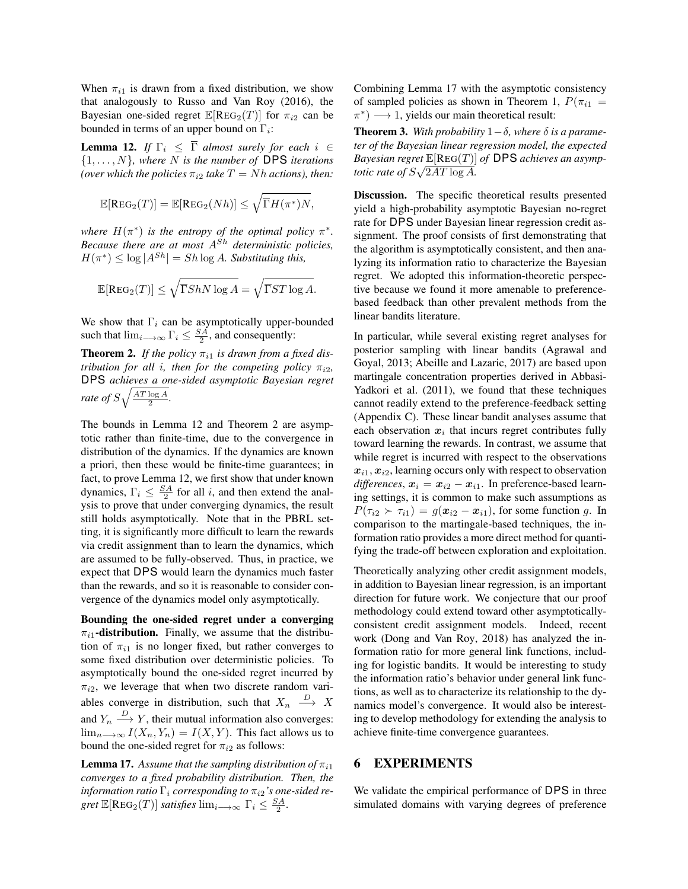When  $\pi_{i1}$  is drawn from a fixed distribution, we show that analogously to Russo and Van Roy (2016), the Bayesian one-sided regret  $\mathbb{E}[\text{Reg}_2(T)]$  for  $\pi_{i2}$  can be bounded in terms of an upper bound on  $\Gamma_i$ :

**Lemma 12.** *If*  $\Gamma_i \leq \overline{\Gamma}$  *almost surely for each*  $i \in$ {1, . . . , N}*, where* N *is the number of* DPS *iterations (over which the policies*  $\pi_{i2}$  *take*  $T = Nh$  *actions), then:* 

$$
\mathbb{E}[\text{REG}_2(T)] = \mathbb{E}[\text{REG}_2(Nh)] \le \sqrt{\overline{\Gamma}H(\pi^*)N},
$$

where  $H(\pi^*)$  *is the entropy of the optimal policy*  $\pi^*$ *. Because there are at most* ASh *deterministic policies,*  $H(\pi^*) \leq \log |A^{Sh}| = Sh \log A$ . Substituting this,

$$
\mathbb{E}[\text{REG}_2(T)] \le \sqrt{\overline{\Gamma} ShN \log A} = \sqrt{\overline{\Gamma} ST \log A}.
$$

We show that  $\Gamma_i$  can be asymptotically upper-bounded such that  $\lim_{i \to \infty} \Gamma_i \leq \frac{SA}{2}$ , and consequently:

**Theorem 2.** If the policy  $\pi_{i1}$  is drawn from a fixed dis*tribution for all i, then for the competing policy*  $\pi_{i2}$ , DPS *achieves a one-sided asymptotic Bayesian regret rate of*  $S\sqrt{\frac{AT \log A}{2}}$ .

The bounds in Lemma 12 and Theorem 2 are asymptotic rather than finite-time, due to the convergence in distribution of the dynamics. If the dynamics are known a priori, then these would be finite-time guarantees; in fact, to prove Lemma 12, we first show that under known dynamics,  $\Gamma_i \leq \frac{SA}{2}$  for all *i*, and then extend the analysis to prove that under converging dynamics, the result still holds asymptotically. Note that in the PBRL setting, it is significantly more difficult to learn the rewards via credit assignment than to learn the dynamics, which are assumed to be fully-observed. Thus, in practice, we expect that DPS would learn the dynamics much faster than the rewards, and so it is reasonable to consider convergence of the dynamics model only asymptotically.

Bounding the one-sided regret under a converging  $\pi_{i1}$ -distribution. Finally, we assume that the distribution of  $\pi_{i1}$  is no longer fixed, but rather converges to some fixed distribution over deterministic policies. To asymptotically bound the one-sided regret incurred by  $\pi_{i2}$ , we leverage that when two discrete random variables converge in distribution, such that  $X_n \longrightarrow X$ and  $Y_n \stackrel{D}{\longrightarrow} Y$ , their mutual information also converges:  $\lim_{n\to\infty} I(X_n, Y_n) = I(X, Y)$ . This fact allows us to bound the one-sided regret for  $\pi_{i2}$  as follows:

**Lemma 17.** Assume that the sampling distribution of  $\pi_{i1}$ *converges to a fixed probability distribution. Then, the information ratio*  $\Gamma_i$  *corresponding to*  $\pi_{i2}$ *'s one-sided regret*  $\mathbb{E}[\text{REG}_2(T)]$  *satisfies*  $\lim_{i \to \infty} \Gamma_i \leq \frac{SA}{2}$ .

Combining Lemma 17 with the asymptotic consistency of sampled policies as shown in Theorem 1,  $P(\pi_{i1} =$  $\pi^*$ )  $\longrightarrow$  1, yields our main theoretical result:

Theorem 3. *With probability* 1−δ*, where* δ *is a parameter of the Bayesian linear regression model, the expected Bayesian regret*  $\mathbb{E}[\text{REG}(T)]$  *of* DPS *achieves an asymptotic rate of*  $S\sqrt{2AT\log A}$ .

Discussion. The specific theoretical results presented yield a high-probability asymptotic Bayesian no-regret rate for DPS under Bayesian linear regression credit assignment. The proof consists of first demonstrating that the algorithm is asymptotically consistent, and then analyzing its information ratio to characterize the Bayesian regret. We adopted this information-theoretic perspective because we found it more amenable to preferencebased feedback than other prevalent methods from the linear bandits literature.

In particular, while several existing regret analyses for posterior sampling with linear bandits (Agrawal and Goyal, 2013; Abeille and Lazaric, 2017) are based upon martingale concentration properties derived in Abbasi-Yadkori et al. (2011), we found that these techniques cannot readily extend to the preference-feedback setting (Appendix C). These linear bandit analyses assume that each observation  $x_i$  that incurs regret contributes fully toward learning the rewards. In contrast, we assume that while regret is incurred with respect to the observations  $x_{i1}, x_{i2}$ , learning occurs only with respect to observation *differences*,  $x_i = x_{i2} - x_{i1}$ . In preference-based learning settings, it is common to make such assumptions as  $P(\tau_{i2} \succ \tau_{i1}) = g(\mathbf{x}_{i2} - \mathbf{x}_{i1})$ , for some function g. In comparison to the martingale-based techniques, the information ratio provides a more direct method for quantifying the trade-off between exploration and exploitation.

Theoretically analyzing other credit assignment models, in addition to Bayesian linear regression, is an important direction for future work. We conjecture that our proof methodology could extend toward other asymptoticallyconsistent credit assignment models. Indeed, recent work (Dong and Van Roy, 2018) has analyzed the information ratio for more general link functions, including for logistic bandits. It would be interesting to study the information ratio's behavior under general link functions, as well as to characterize its relationship to the dynamics model's convergence. It would also be interesting to develop methodology for extending the analysis to achieve finite-time convergence guarantees.

#### 6 EXPERIMENTS

We validate the empirical performance of DPS in three simulated domains with varying degrees of preference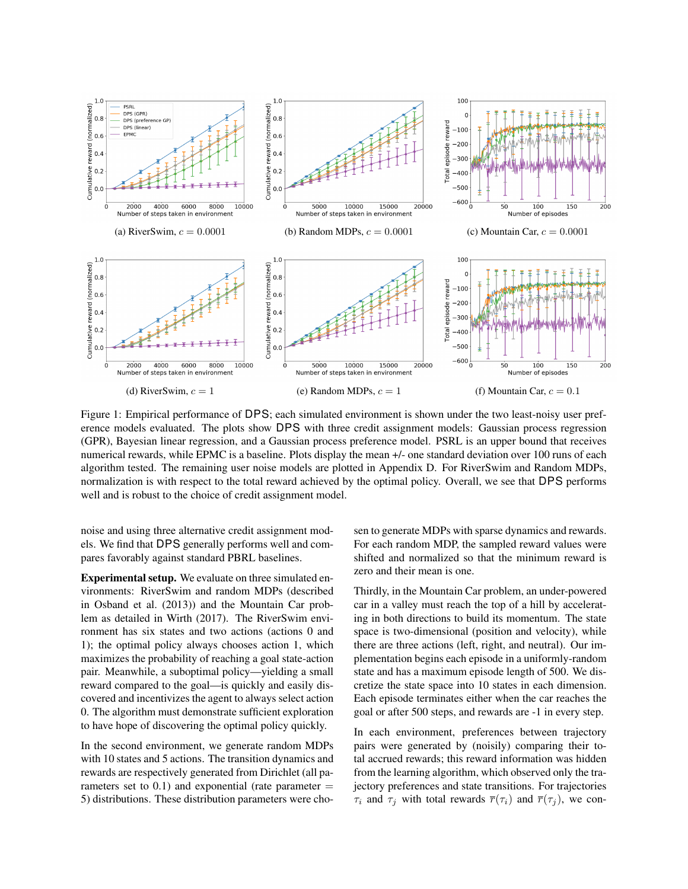

Figure 1: Empirical performance of DPS; each simulated environment is shown under the two least-noisy user preference models evaluated. The plots show DPS with three credit assignment models: Gaussian process regression (GPR), Bayesian linear regression, and a Gaussian process preference model. PSRL is an upper bound that receives numerical rewards, while EPMC is a baseline. Plots display the mean +/- one standard deviation over 100 runs of each algorithm tested. The remaining user noise models are plotted in Appendix D. For RiverSwim and Random MDPs, normalization is with respect to the total reward achieved by the optimal policy. Overall, we see that DPS performs well and is robust to the choice of credit assignment model.

noise and using three alternative credit assignment models. We find that DPS generally performs well and compares favorably against standard PBRL baselines.

Experimental setup. We evaluate on three simulated environments: RiverSwim and random MDPs (described in Osband et al. (2013)) and the Mountain Car problem as detailed in Wirth (2017). The RiverSwim environment has six states and two actions (actions 0 and 1); the optimal policy always chooses action 1, which maximizes the probability of reaching a goal state-action pair. Meanwhile, a suboptimal policy—yielding a small reward compared to the goal—is quickly and easily discovered and incentivizes the agent to always select action 0. The algorithm must demonstrate sufficient exploration to have hope of discovering the optimal policy quickly.

In the second environment, we generate random MDPs with 10 states and 5 actions. The transition dynamics and rewards are respectively generated from Dirichlet (all parameters set to  $0.1$ ) and exponential (rate parameter  $=$ 5) distributions. These distribution parameters were chosen to generate MDPs with sparse dynamics and rewards. For each random MDP, the sampled reward values were shifted and normalized so that the minimum reward is zero and their mean is one.

Thirdly, in the Mountain Car problem, an under-powered car in a valley must reach the top of a hill by accelerating in both directions to build its momentum. The state space is two-dimensional (position and velocity), while there are three actions (left, right, and neutral). Our implementation begins each episode in a uniformly-random state and has a maximum episode length of 500. We discretize the state space into 10 states in each dimension. Each episode terminates either when the car reaches the goal or after 500 steps, and rewards are -1 in every step.

In each environment, preferences between trajectory pairs were generated by (noisily) comparing their total accrued rewards; this reward information was hidden from the learning algorithm, which observed only the trajectory preferences and state transitions. For trajectories  $\tau_i$  and  $\tau_j$  with total rewards  $\overline{r}(\tau_i)$  and  $\overline{r}(\tau_j)$ , we con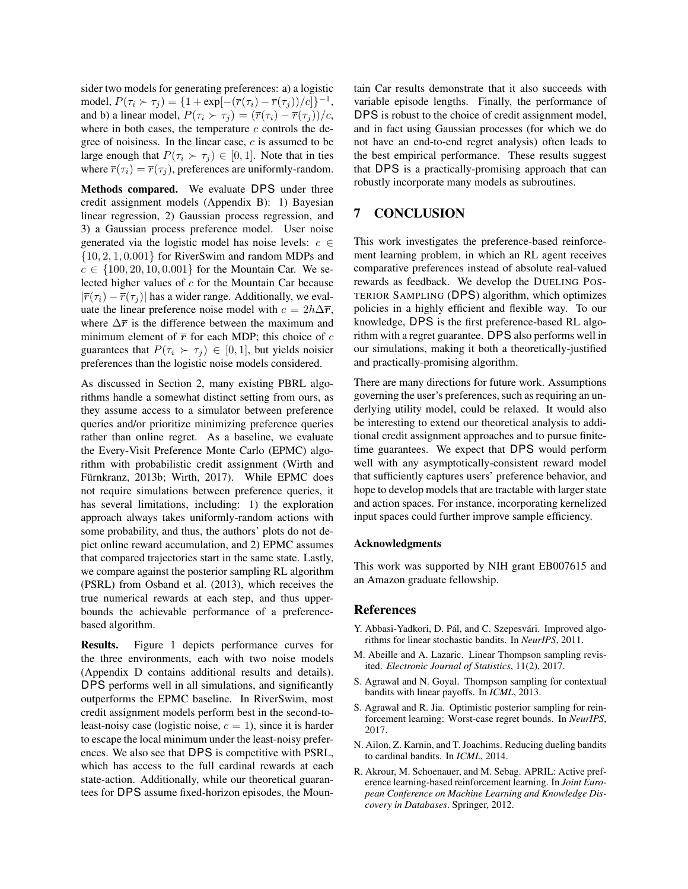sider two models for generating preferences: a) a logistic model,  $P(\tau_i \succ \tau_j) = \{1 + \exp[-(\overline{r}(\tau_i) - \overline{r}(\tau_j))/c]\}^{-1},$ and b) a linear model,  $P(\tau_i \succ \tau_j) = (\overline{r}(\tau_i) - \overline{r}(\tau_j))/c$ , where in both cases, the temperature  $c$  controls the degree of noisiness. In the linear case,  $c$  is assumed to be large enough that  $P(\tau_i \succ \tau_j) \in [0, 1]$ . Note that in ties where  $\overline{r}(\tau_i) = \overline{r}(\tau_i)$ , preferences are uniformly-random.

Methods compared. We evaluate DPS under three credit assignment models (Appendix B): 1) Bayesian linear regression, 2) Gaussian process regression, and 3) a Gaussian process preference model. User noise generated via the logistic model has noise levels:  $c \in$ {10, 2, 1, 0.001} for RiverSwim and random MDPs and  $c \in \{100, 20, 10, 0.001\}$  for the Mountain Car. We selected higher values of  $c$  for the Mountain Car because  $|\overline{r}(\tau_i) - \overline{r}(\tau_j)|$  has a wider range. Additionally, we evaluate the linear preference noise model with  $c = 2h\Delta \overline{r}$ , where  $\Delta \bar{r}$  is the difference between the maximum and minimum element of  $\bar{r}$  for each MDP; this choice of c guarantees that  $P(\tau_i \succ \tau_j) \in [0, 1]$ , but yields noisier preferences than the logistic noise models considered.

As discussed in Section 2, many existing PBRL algorithms handle a somewhat distinct setting from ours, as they assume access to a simulator between preference queries and/or prioritize minimizing preference queries rather than online regret. As a baseline, we evaluate the Every-Visit Preference Monte Carlo (EPMC) algorithm with probabilistic credit assignment (Wirth and Fürnkranz, 2013b; Wirth, 2017). While EPMC does not require simulations between preference queries, it has several limitations, including: 1) the exploration approach always takes uniformly-random actions with some probability, and thus, the authors' plots do not depict online reward accumulation, and 2) EPMC assumes that compared trajectories start in the same state. Lastly, we compare against the posterior sampling RL algorithm (PSRL) from Osband et al. (2013), which receives the true numerical rewards at each step, and thus upperbounds the achievable performance of a preferencebased algorithm.

Results. Figure 1 depicts performance curves for the three environments, each with two noise models (Appendix D contains additional results and details). DPS performs well in all simulations, and significantly outperforms the EPMC baseline. In RiverSwim, most credit assignment models perform best in the second-toleast-noisy case (logistic noise,  $c = 1$ ), since it is harder to escape the local minimum under the least-noisy preferences. We also see that DPS is competitive with PSRL, which has access to the full cardinal rewards at each state-action. Additionally, while our theoretical guarantees for DPS assume fixed-horizon episodes, the Mountain Car results demonstrate that it also succeeds with variable episode lengths. Finally, the performance of DPS is robust to the choice of credit assignment model, and in fact using Gaussian processes (for which we do not have an end-to-end regret analysis) often leads to the best empirical performance. These results suggest that DPS is a practically-promising approach that can robustly incorporate many models as subroutines.

# 7 CONCLUSION

This work investigates the preference-based reinforcement learning problem, in which an RL agent receives comparative preferences instead of absolute real-valued rewards as feedback. We develop the DUELING POS-TERIOR SAMPLING (DPS) algorithm, which optimizes policies in a highly efficient and flexible way. To our knowledge, DPS is the first preference-based RL algorithm with a regret guarantee. DPS also performs well in our simulations, making it both a theoretically-justified and practically-promising algorithm.

There are many directions for future work. Assumptions governing the user's preferences, such as requiring an underlying utility model, could be relaxed. It would also be interesting to extend our theoretical analysis to additional credit assignment approaches and to pursue finitetime guarantees. We expect that DPS would perform well with any asymptotically-consistent reward model that sufficiently captures users' preference behavior, and hope to develop models that are tractable with larger state and action spaces. For instance, incorporating kernelized input spaces could further improve sample efficiency.

#### Acknowledgments

This work was supported by NIH grant EB007615 and an Amazon graduate fellowship.

#### References

- Y. Abbasi-Yadkori, D. Pál, and C. Szepesvári. Improved algorithms for linear stochastic bandits. In *NeurIPS*, 2011.
- M. Abeille and A. Lazaric. Linear Thompson sampling revisited. *Electronic Journal of Statistics*, 11(2), 2017.
- S. Agrawal and N. Goyal. Thompson sampling for contextual bandits with linear payoffs. In *ICML*, 2013.
- S. Agrawal and R. Jia. Optimistic posterior sampling for reinforcement learning: Worst-case regret bounds. In *NeurIPS*, 2017.
- N. Ailon, Z. Karnin, and T. Joachims. Reducing dueling bandits to cardinal bandits. In *ICML*, 2014.
- R. Akrour, M. Schoenauer, and M. Sebag. APRIL: Active preference learning-based reinforcement learning. In *Joint European Conference on Machine Learning and Knowledge Discovery in Databases*. Springer, 2012.